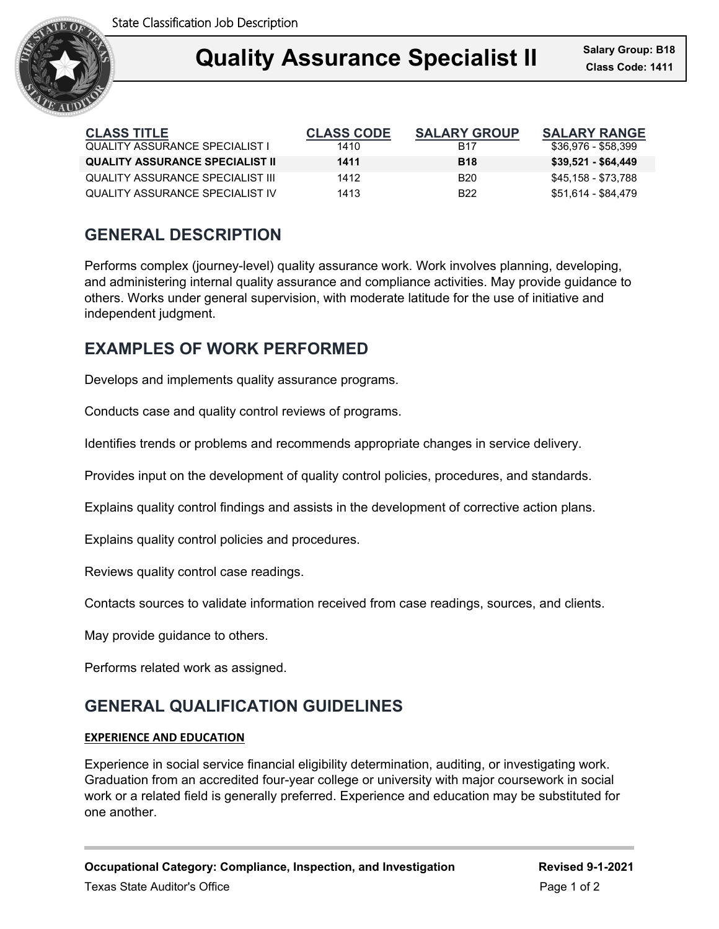

## **Quality Assurance Specialist II** Salary Group: B18 Ξ

| <b>CLASS TITLE</b>                     | <b>CLASS CODE</b> | <b>SALARY GROUP</b> | <b>SALARY RANGE</b> |
|----------------------------------------|-------------------|---------------------|---------------------|
| <b>QUALITY ASSURANCE SPECIALIST I</b>  | 1410              | B17                 | \$36,976 - \$58,399 |
| <b>QUALITY ASSURANCE SPECIALIST II</b> | 1411              | <b>B</b> 18         | \$39,521 - \$64,449 |
| QUALITY ASSURANCE SPECIALIST III       | 1412              | <b>B20</b>          | \$45,158 - \$73,788 |
| QUALITY ASSURANCE SPECIALIST IV        | 1413              | B <sub>22</sub>     | \$51.614 - \$84.479 |

## **GENERAL DESCRIPTION**

Performs complex (journey-level) quality assurance work. Work involves planning, developing, and administering internal quality assurance and compliance activities. May provide guidance to others. Works under general supervision, with moderate latitude for the use of initiative and independent judgment.

## **EXAMPLES OF WORK PERFORMED**

Develops and implements quality assurance programs.

Conducts case and quality control reviews of programs.

Identifies trends or problems and recommends appropriate changes in service delivery.

Provides input on the development of quality control policies, procedures, and standards.

Explains quality control findings and assists in the development of corrective action plans.

Explains quality control policies and procedures.

Reviews quality control case readings.

Contacts sources to validate information received from case readings, sources, and clients.

May provide guidance to others.

Performs related work as assigned.

# **GENERAL QUALIFICATION GUIDELINES**

### **EXPERIENCE AND EDUCATION**

Experience in social service financial eligibility determination, auditing, or investigating work. Graduation from an accredited four-year college or university with major coursework in social work or a related field is generally preferred. Experience and education may be substituted for one another.